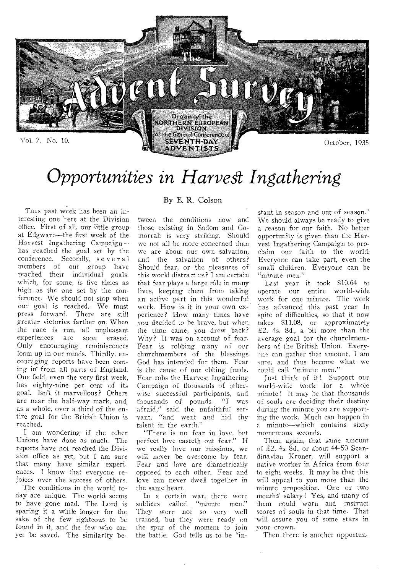

# *Opportunities in Harvest Ingathering*

THIS past week has been an interesting one here at the Division office. First of all, our little group at Edgware—the first week of the Harvest Ingathering Campaign has reached the goal set by the conference. Secondly, several members of our group have reached their individual goals, which, for some, is five times as high as the one set by the conference. We should not stop when our goal is reached. We must press forward. There are still greater victories farther on. When the race is run, all unpleasant<br>experiences are soon erased. experiences Only encouraging reminiscences loom up in our minds. Thirdly, encouraging reports have been coming in from all parts of England. One field, even the very first week, has eighty-nine per cent of its goal. Isn't it marvellous? Others are near the half-way mark, and, as a whole, over a third of the entire goal for the British Union is reached.

I am wondering if the other Unions have done as much. The reports have not reached the Division office as yet, but I am sure that many have similar experiences. I know that everyone rejoices over the success of others.

The conditions in the world today are unique. The world seems to have gone mad. The Lord is sparing it a while longer for the sake of the few righteous to be found in it, and the few who can yet be saved. The similarity be-

### By E. R. Colson

tween the conditions now and those existing in Sodom and Gomorrah is very striking. Should we not all be more concerned than we are about our own salvation, and the salvation of others? Should fear, or the pleasures of this world distract us? I am certain that fear plays a large rôle in many lives, keeping them from taking an active part in this wonderful work. How is it in your own experience? How many times have you decided to be brave, but when the time came, you drew back? Why? It was on account of fear. Fear is robbing many of our churchmembers of the blessings God has intended for them. Fear is the cause of our ebbing funds. Fear robs the Harvest Ingathering Campaign of thousands of otherwise successful participants, and thousands of pounds. "I was afraid," said the unfaithful servant, "and went and hid thy talent in the earth."

"There is no fear in love, but perfect love casteth out fear." If we really love our missions, we will never be overcome by fear. Fear and love are diametrically opposed to each other. Fear and love can never dwell together in the same heart.

In a certain war, there were soldiers called "minute men." They were not so very well trained, but they were ready on the spur of the moment to join the battle. God tells us to be "instant in season and out of season."' We should always be ready to give a reason for our faith. No better opportunity is given than the Harvest Ingathering Campaign to proclaim our faith to the world. Everyone can take part, even the small children. Everyone can be "minute men."

Last year it took \$10.64 to operate our entire world-wide work for one minute. The work has advanced this past year in spite of difficulties, so that it now takes \$11.08, or approximately £2. 4s. 8d., a bit more than the average goal for the churchmemhers of the British Union. Everyone can gather that amount, I am sure, and thus become what we could call "minute men."

Just think of it! Support our world-wide work for a whole minute ! It may he that thousands of souls are deciding their destiny during the minute you are supporting the work. Much can happen in a minute—which contains sixty momentous seconds.

Then, again, that same amount of £2. 4s. 8d., or about 44-50 Scandinavian Kroner, will support a native worker in Africa from four to eight weeks. It may be that this will appeal to you more than the minute proposition. One or two months' salary ! Yes, and many of them could warn and instruct scores of souls in that time. That will assure you of some stars in your crown.

Then there is another opportun-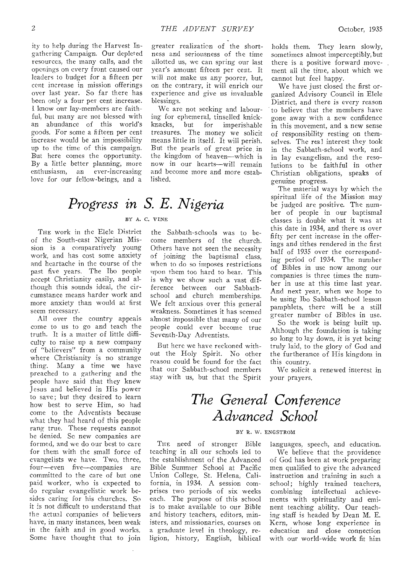ity to help during the Harvest Ingathering Campaign. Our depleted resources, the many calls, and the openings on every front caused our leaders to budget for a fifteen per cent increase in mission offerings over last year. So far there has been only a four per cent increase. 1 know our lay-members are faithful, but many are not blessed with an abundance of this world's goods. For some a fifteen per cent increase would be an impossibility up to the time of this campaign. But here comes the opportunity. By a little better planning, more enthusiasm, an ever-increasing love for our fellow-beings, and a

greater realization of the shortness and seriousness of the time allotted us, we can spring our last year's amount fifteen per cent. It will not make us any poorer, but, on the contrary, it will enrich our experience and *give* us invaluable blessings.

We are not seeking and labouring for ephemeral, tinselled knick-<br>knacks, but for imperishable imperishable treasures. The money we solicit means little in itself. It will perish, But the pearls of great price in the kingdom of heaven—which is now in our hearts—will remain and become more and more established.

# *Progress in S. E. Nigeria*

### BY A. C. VINE

THE work in the Elele District of the South-east Nigerian Mission is a comparatively young work, and has cost some anxiety and heartache in the course of the past five years. The Ibo people accept Christianity easily, and although this sounds ideal, the circumstance means harder work and more anxiety than would at first seem necessary.

All over the country appeals come to us to go and teach the truth. It is a matter of little difficulty to raise up a new company of "believers" from a community where Christianity is no strange thing. Many a time we have preached to a gathering and the people have said that they knew Jesus and believed in His power to save; but they desired to learn how best to serve Him, so had come to the Adventists because what they had heard of this people rang true. These requests cannot be denied. Se new companies are formed, and we do our best to care for them with the small force of evangelists we have. Two, three, four--even five—companies are committed to the care of but one paid worker, who is expected to do regular evangelistic work besides caring for his churches. So it is not difficult to understand that the actual companies of believers have, in many instances, been weak in the faith and in good works. Some have thought that to join

### the Sabbath-schools was to become members of the church. Others have not seen the necessity of joining the baptismal class, when to do so imposes restrictions upon them too hard to hear. This is why *we* show such a vast difference between our Sabbathschool and church memberships. We felt anxious over this general weakness. Sometimes it has seemed almost impossible that many of our people could ever become true Seventh-Day Adventists.

But here we have reckoned without the Holy Spirit. No other reason could be found for the fact that our Sabbath-school members stay with us, but that the Spirit

holds them. They learn slowly, sometimes almost imperceptibly, but there is a positive forward movement all the time, about which we cannot but feel happy.

We have just closed the first organized Advisory Council in Elele District, and there is every reason to believe that the members have gone away with a new confidence in this movement, and a new sense of responsibility resting on themselves. The real interest they took in the Sabbath-school work, and in lay evangelism, and the resolutions to be faithful in other Christian obligations, speaks of genuine progress.

The material ways by which the spiritual life of the Mission may be judged are positive. The number of people in our baptismal classes is double what it was at this date in 1934, and there is over fifty per cent increase in the offerings and tithes rendered in the first half of 1935 over the corresponding period of 1934. The number of Bibles in use now among our companies is three times the number in use at this time last year. And next year, when we hope to he using Ibo Sabbath-school lesson pamphlets, there will be a still greater number of Bibles in use. So the work is being built up.

Although the foundation is taking so long to lay down, it is yet being truly laid, to the glory of God and the furtherance of His kingdom in this country.

We solicit a renewed interest in your prayers.

# *The General Conference Advanced School*

#### BY R. W. ENGSTROM

THE need of stronger Bible teaching in all our schools led to the establishment of the Advanced Bible Summer School at Pacific Union College, St. Helena, California, in 1934. A session comprises two periods of six weeks each. The purpose of this school is to make available to our Bible and history teachers, editors, ministers, and missionaries, courses on a graduate level in theology, religion, history, English, biblical languages, speech, and education. We believe that the providence of God has been at work preparing men qualified to give the advanced instruction and training in such a school; highly trained teachers, combining intellectual achievements with spirituality and eminent teaching ability. Our teaching staff is headed by Dean M. E. Kern, whose long experience in education and close connection with our world-wide work fit him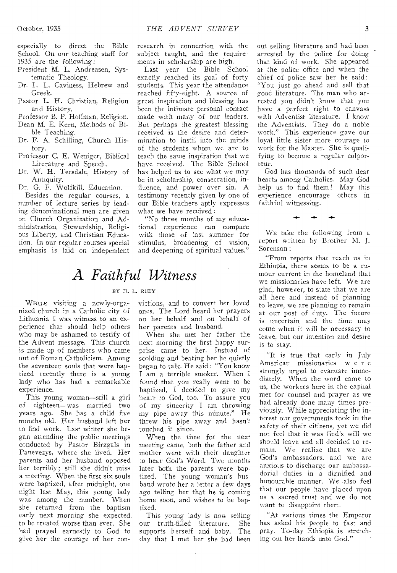especially to direct the Bible School. On our teaching staff for 1935 are the following:

- President M. L. Andreasen, Systematic Theology.
- Dr. L. L. Caviness, Hebrew and Greek.
- Pastor L. H. Christian, Religion and History.
- Professor B. P. Hoffman, Religion.
- Dean M. E. Kern, Methods of Bible Teaching.
- Dr. F. A. Schilling, Church History.
- Professor C. E. Weniger, Biblical Literature and Speech.
- Dr. W. H. Teesdale, History of Antiquity.
- Dr. G. F. Wolfkill, Education.

Besides the regular courses, a number of lecture series by leading denominational men are given on Church Organization and Administration, Stewardship, Religious Liberty, and Christian Education. In our regular courses special emphasis is laid on independent

### research in connection with the subject taught, and the requirements in scholarship are high.

Last year the Bible School exactly reached its goal of forty students. This year the attendance reached fifty-eight. A source of great inspiration and blessing has been the intimate personal contact made with many of our leaders. But perhaps the greatest blessing received is the desire and determination to instil into the minds of the students whom we are to teach the same inspiration that we have received. The Bible School has helped us to see what we may be in scholarship, consecration, influence, and power over sin. A testimony recently given by one of our Bible teachers aptly expresses what we have received :

"No three months of my educational experience can compare with those of last summer for stimulus, broadening of vision, and deepening of spiritual values."

## *A Faithful Witness*

### BY IT. L. RUDY

WHILE visiting a newly-organized church in a Catholic city of Lithuania I was witness to an experience that should help others who may be ashamed to testify of the Advent message. This church is made up of members who came out of Roman Catholicism. Among the seventeen souls that were baptized recently there is a young lady who has had a remarkable experience.

This young woman—still a girl of eighteen—was married two years ago. She has a child five months old. Her husband left her to find work. Last winter she began attending the public meetings conducted by Pastor Birzgals in Panevezys, where she lived. Her parents and her husband opposed her terribly; still she didn't miss a meeting. When the first six souls were baptized, after midnight, one night last May, this young lady was among the number. When she returned from the baptism early next morning she expected to be treated worse than ever. She had prayed earnestly to God to give her the courage of her convictions, and to convert her loved ones. The Lord heard her prayers on her behalf and on behalf of her parents and husband.

When she met her father the next morning the first happy surprise came to her. Instead of scolding and beating her he quietly began to talk. He said : "You know I am a terrible smoker. When I found that you really went to be baptized, I decided to give my heart to God, too. To assure you of my sincerity I am throwing my pipe away this minute." He threw his pipe away and hasn't touched it since.

When the time for the next meeting came, both the father and mother went with their daughter to hear God's Word. Two months later both the parents were baptized. The young woman's husband wrote her a letter a few days ago telling her that he is coming home soon, and wishes to be baptized.

This young lady is now selling our truth-filled literature. She supports herself and baby. The day that I met her she had been

out selling literature and had been arrested by the police for doing that kind of work. She appeared at the police office and when the chief of police saw her he said: "You just go ahead and sell that good literature. The man who arrested you didn't know that you have a perfect right to canvass with Adventist literature. I know the Adventists. They do a noble work." This experience gave our loyal little sister more courage to work for the Master. She is qualifying to become a regular colporteur.

God has thousands of such dear hearts among Catholics. May God help us to find them ! May this experience encourage others in faithful witnessing.

WE take the following from a report written by Brother M. J. Sorenson:

**44-** 

"From reports that reach us in Ethiopia, there seems to be a rumour current in the homeland that we missionaries have left. We are glad, however, to state that we are all here and instead of planning to leave, we are planning to remain at our post of duty. The future is uncertain and the time may come when it will be necessary to leave, but our intention and desire is to stay.

"It is true that early in July American missionaries were strongly urged to evacuate immediately. When the word came to us, the workers here in the capital met for counsel and prayer as we had already done many times previously. While appreciating the interest our governments took in the safety of their citizens, yet we did not feel that it was God's will we should leave and all decided to remain. We realize that we are God's ambassadors, and we are anxious to discharge our ambassadorial duties in a dignified and honourable manner. We also feel that our people have placed upon us a sacred trust and we do not want to disappoint them.

"At various times the Emperor has asked his people to fast and pray. To-day Ethiopia is stretching out her hands unto God."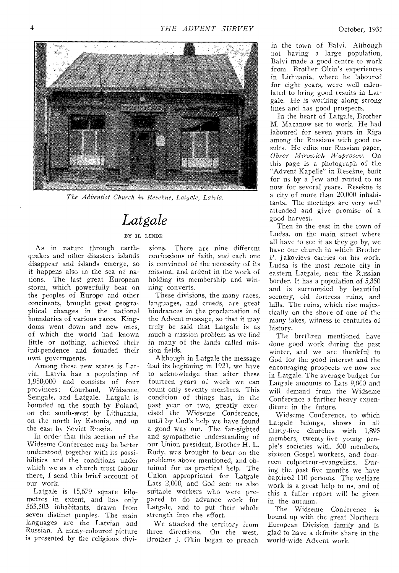

*The Adventist Church in Resekne, Latgale, Latvia.* 

### *Latgale*

### BY H. LINDE

As in nature through earthquakes and other disasters islands disappear and islands emerge, so it happens also in the sea of nations. The last great European storm, which powerfully beat on the peoples of Europe and other continents, brought great geographical changes in the national boundaries of various races. Kingdoms went down and new ones, of which the world had known little or nothing, achieved their independence and founded their own governments.

Among these new states is Latvia. Latvia has a population of 1,950,000 and consists of four provinces: Courland, Semgale, and Latgale. Latgale is hounded on the south by Poland, on the south-west by Lithuania, on the north by Estonia, and on the east by Soviet Russia.

In order that this section of the Widseme Conference may be better understood, together with its possibilities and the conditions under which we as a church must labour there, I send this brief account of our work.

Latgale is 15,679 square kilometres in extent, and has only 565,503 inhabitants, drawn from seven distinct peoples. The main languages are the Latvian and Russian. A many-coloured picture is presented by the religious divi-

sions. There are nine different confessions of faith, and each one is convinced of the necessity of its mission, and ardent in the work of holding its membership and winning converts.

These divisions, the many races, languages, and creeds, are great hindrances in the proclamation of the Advent message, so that it may truly be said that Latgale is as much a mission problem as we find in many of the lands called mission fields.

Although in Latgale the message had its beginning in 1921, we have to acknowledge that after these fourteen years of work we can count only seventy members. This condition of things has, in the past year or two, greatly exercised the Widseme Conference, until by God's help we have found a good way out. The far-sighted and sympathetic understanding of our Union president, Brother H. L. Rudy, was brought to bear on the problems above mentioned, and obtained for us practical help. The Union appropriated for Latgale Lats 2,000, and God sent us also suitable workers who were prepared to do advance work for Latgale, and to put their whole strength into the effort.

We attacked the territory from three directions. On the west, Brother J. Oltin began to preach

in the town of Balvi. Although not having a large population, Balvi made a good centre to work from. Brother Oltin's experiences in Lithuania, where he laboured for eight years, were well calculated to bring good results in Latgale. He is working along strong lines and has good prospects.

In the heart of Latgale, Brother M. Macanow set to work. He had laboured for seven years in Riga among the Russians with good results. He edits our Russian paper, *Obsor Miroquick Waprosov.* On this page is a photograph of the "Advent Kapelle" in Resekne, built for us by a Jew and rented to us now for several years. Resekne is a city of more than 20,000 inhabitants. The meetings are very well attended and give promise of a good harvest.

Then in the east in the town of Ludsa, on the main street where all have to see it as they go by, we have our church in which Brother P. Jakovlevs carries on his work. Ludsa is the most remote city in eastern Latgale, near the Russian border. It has a population of 5,350 and is surrounded by beautiful scenery, old fortress ruins, and hills. The ruins, which rise majestically on the shore of one of the many lakes, witness to centuries of history.

The brethren mentioned have done good work during the past winter, and we are thankful to God for the good interest and the encouraging prospects we now see in Latgale. The average budget for Latgale amounts to Lats 9,000 and will demand from the Widseme Conference a further heavy expenditure in the future.

Widseme Conference, to which Latgale belongs, shows in all thirty-five churches with 1,895 members, twenty-five young people's societies with 500 members, sixteen Gospel workers, and fourteen colporteur-evangelists. During the past five months we have baptized 110 persons. The welfare work is a great help to us, and of this a fuller report will be given in the autumn.

The Widseme Conference is bound up with the great Northern European Division family and is glad to have a definite share in the world-wide Advent work.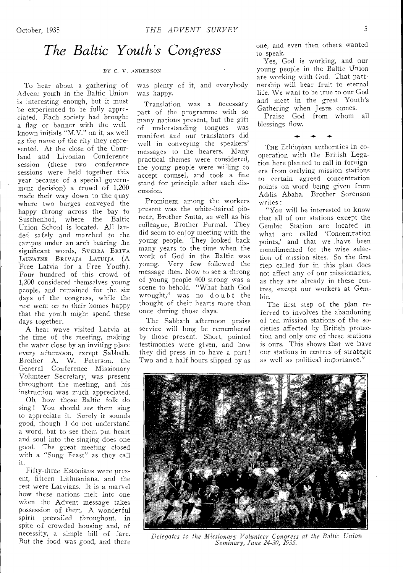### *The Baltic Youth's Congress*

#### BY *O.* V. ANDERSON

To hear about a gathering of Advent youth in the Baltic Union is interesting enough, but it must be experienced to be fully appreciated. Each society had brought a flag or banner with the wellknown initials "M.V." on it, as well as the name of the city they represented. At the close of the Courland and Livonian Conference session (these two conference sessions were held together this year because of a special government decision) a crowd of 1,200 made their way down to the quay where two barges conveyed the happy throng across the bay to Suschenhof, where the Baltic Union School is located. All landed safely and marched to the campus under an arch bearing the significant words, SVEIRA BRIVA JAUNATNE BRIVAJA LATUIJA (A Free Latvia for a Free Youth). Four hundred of this crowd of 1,200 considered themselves young people, and remained for the six days of the congress, while the rest went on to their homes happy that the youth might spend these days together.

A heat wave visited Latvia at the time of the meeting, making the water close by an inviting place every afternoon, except Sabbath. Brother A. W. Peterson, the General Conference Missionary Volunteer Secretary, was present throughout the meeting, and his instruction was much appreciated.

Oh, how those Baltic folk do sing ! You should *see* them sing to appreciate it. Surely it sounds good, though I do not understand a word, but to see them put heart and soul into the singing does one good. The great meeting closed with a "Song Feast" as they call it.

Fifty-three Estonians were present, fifteen Lithuanians, and the rest were Latvians. It is a marvel how these nations melt into one when the Advent message takes possession of them. A wonderful spirit prevailed throughout, in spite of crowded housing and, of necessity, a simple bill of fare. But the food was good, and there was plenty of it, and everybody was happy.

Translation was a necessary part of the programme with so many nations present, but the gift of understanding tongues was manifest and our translators did well in conveying the speakers' messages to the hearers. Many practical themes were considered, the young people were willing to accept counsel, and took a fine stand for principle after each discussion.

Prominent among the workers present was the white-haired pioneer, Brother Sutta, as well as his colleague, Brother Purmal. They did seem to enjoy meeting with the young people. They looked back many years to the time when the work of God in the Baltic was young. Very few followed the message then. Now to see a throng of young people 400 strong was a scene to behold. "What hath God wrought," was no doubt the thought of their hearts more than once during those days.

The Sabbath afternoon praise service will long be remembered by those present. Short, pointed testimonies were given, and how they did press in to have a part ! Two and a half hours slipped by as one, and even then others wanted to speak.

Yes, God is working, and our young people in the Baltic Union are working with God. That partnership will bear fruit to eternal life. We want to be true to our God and meet in the great Youth's Gathering when Jesus comes.

Praise God from whom all blessings flow.

THE Ethiopian authorities in cooperation with the British Legation here planned to call in foreigners from outlying mission stations to certain agreed concentration points on word being given from Addis Ababa. Brother Sorenson writes :

"You will be interested to know that all of our stations except the Gembie Station are located in what are called 'Concentration points,' and that we have been complimented for the wise selection of mission sites. So the first step called for in this plan does not affect any of our missionaries, as they are already in these centres, except our workers at Gembie.

The first step of the plan referred to involves the abandoning of ten mission stations of the societies affected by British protection and only one of these stations is ours. This shows that we have our stations in centres of strategic as well as political importance.'



*Delegate's to the Missionary Volunteer Congress at the Baltic Union Seminary, June 24-30, 1935.*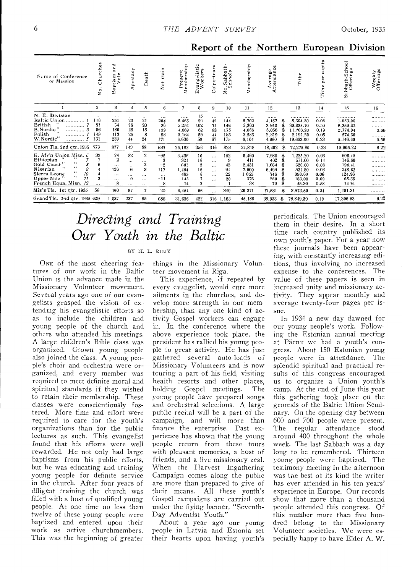Report of the Northern European Division

| Name of Conference<br>or Mission                                                                                                                                                                       | $ure$ hes<br>5<br>Š.                      | 겯<br>ptism<br>Vote<br>☎                                                   | ⋗<br>postas<br>×.                                           | Death                                                                            | Gain<br>¢t<br>z                                   | Present<br>Membership                                     | ť٤<br>Ø.<br>vangelist<br>Workers<br>ω            | œ<br>olporteur                                                                              | £<br>σ<br>abba<br>hool<br>v. a<br>$\circ$ <sup><math>\circ</math></sup><br>z | ship<br>Member                                                 | ပ္ပ<br>Average<br>ttendanc.                                  |              | ω<br>Tith                                                                       | capita<br>per<br>Tithe                                      | Sabbath-School<br>Offerings                                                 | Weekly<br>Offerings           |
|--------------------------------------------------------------------------------------------------------------------------------------------------------------------------------------------------------|-------------------------------------------|---------------------------------------------------------------------------|-------------------------------------------------------------|----------------------------------------------------------------------------------|---------------------------------------------------|-----------------------------------------------------------|--------------------------------------------------|---------------------------------------------------------------------------------------------|------------------------------------------------------------------------------|----------------------------------------------------------------|--------------------------------------------------------------|--------------|---------------------------------------------------------------------------------|-------------------------------------------------------------|-----------------------------------------------------------------------------|-------------------------------|
|                                                                                                                                                                                                        | $\boldsymbol{2}$                          | 3                                                                         | 4                                                           | $\overline{5}$                                                                   | 6                                                 | 7                                                         | 8                                                | 9                                                                                           | 10                                                                           | 11                                                             | 12                                                           |              | 13                                                                              | 14                                                          | 15                                                                          | 16                            |
| N. E. Division<br>Baltic Union<br>British<br><br>E.Nordic"<br><br>Polish<br><br>W.Nordic"<br>. 5                                                                                                       | $\cdots$<br>116<br>81<br>96<br>149<br>131 | $\cdots$<br>251<br>54<br>180<br>113<br>239                                | $\ddotsc$<br>20<br>26<br>25<br>25<br>44                     | $\ldots$<br>21<br>20<br>15<br>8<br>24                                            | $\cdots$<br>204<br>36<br>139<br>88<br>171         | <br>5.465<br>5,254<br>4,669<br>3,164<br>6,630             | 15<br>59<br>102<br>62<br>59<br>59                | $\cdots$<br>49<br>74<br>82<br>44<br>67                                                      | $\cdots$<br>144<br>146<br>175<br>183<br>175                                  | <br>5.702<br>5,360<br>4.066<br>3,586<br>6,104                  | <br>4,157<br>3910<br>3.056<br>2.319<br>4,960                 | 參<br>\$<br>я | . <i>. .</i><br>5.384.30<br>33,833.10<br>11, ?03.20<br>2,191.30<br>19,663.90    | <br>0.08<br>0.50<br>0.19<br>0.05<br>0.23                    | . <b>.</b><br>1.053,06<br>6.356.32<br>2.774.94<br>574.30<br>5.146.60        | <br><br><br>3.66<br><br>5.56  |
| Union Tls. 2nd qtr. 1935                                                                                                                                                                               | 573                                       | 877                                                                       | 140                                                         | 88                                                                               | 633                                               | 25,182                                                    | 356                                              | 316                                                                                         | 823                                                                          | 24,818                                                         | 18,402                                                       | \$           | 72,275.80                                                                       | 0.23                                                        | 15.905.22                                                                   | 922                           |
| E. Afr'n Union Miss. 6<br>Ethiopian<br>66<br>Gold Coast<br>6.6<br>Nigerian<br>9<br>$\cdots$<br>Sierra Leone<br>10<br>$\cdots$<br>Upper Nile<br>11<br>French Equa. Misn. 12<br>Mis's Tls. 1st qtr. 1935 | 32<br>6<br>3<br><br>56                    | 24<br>$\mathbf{2}$<br>$\cdots$<br>126<br>$\cdots$<br>$\cdots$<br>8<br>160 | 82<br>$\cdots$<br>.<br>6<br>$\cdots$<br>9<br>$\cdots$<br>97 | $\mathbf 2$<br>$\cdots$<br>2<br>3<br>$\cdots$<br><br>$\ddotsc$<br>$\overline{7}$ | $-95$<br>3<br>$-2$<br>117<br><br>$-11$<br>8<br>20 | 3.436<br>321<br>601<br>1,454<br>485<br>143<br>14<br>6,454 | 16<br>16<br>$\overline{2}$<br>16<br>6<br>3<br>66 | $\cdots$<br>$\cdots$<br>$\cdots$<br>$\cdots$<br>$\cdots$<br>$\cdots$<br>$\cdot$<br>$\cdots$ | 152<br>9<br>42<br>94<br>22<br>20<br>340                                      | 8,460<br>411<br>2,431<br>7,600<br>1 055<br>376<br>38<br>20,371 | 7,980<br>402<br>1,664<br>6.409<br>746<br>260<br>70<br>17,531 | S<br>я<br>\$ | 1,225.20<br>571.00<br>626.60<br>531.80<br>390.60<br>183.00<br>45.30<br>3,573.50 | 0.03<br>014<br>0.0S<br>0.03<br>0.06<br>0.09<br>0.58<br>0.04 | 606.45<br>146.60<br>194.41<br>248.62<br>124.96<br>65.36<br>1491<br>1,401.31 | <br><br><br><br><br><br><br>. |
| Grand Tls. 2nd qtr. 1935 629                                                                                                                                                                           |                                           | 1,037                                                                     | 237                                                         | 95                                                                               | 658                                               | 31,636                                                    | 422                                              |                                                                                             | 316 1,163                                                                    | 45.189                                                         | 35,933                                                       | -8           | 75,849.30                                                                       | 0.19                                                        | 17,306 53                                                                   | 9.22                          |

# Directing and Training Our Youth in the Baltic

### BY H. L. RUDY

ONE of the most cheering features of our work in the Baltic Union is the advance made in the Missionary Volunteer movement. Several years ago one of our evangelists grasped the vision of extending his evangelistic efforts so as to include the children and young people of the church and others who attended his meetings. A large children's Bible class was organized. Grown young people also joined the class. A young people's choir and orchestra were organized, and every member was required to meet definite moral and spiritual standards if they wished to retain their membership. These classes were conscientiously fostered. More time and effort were required to care for the youth's organizations than for the public lectures as such. This evangelist found that his efforts were well rewarded. He not only had large baptisms from his public efforts, but he was educating and training young people for definite service in the church. After four years of diligent training the church was filled with a host of qualified young people. At one time no less than twelve of these young people were baptized and entered upon their work as active churchmembers. This was the beginning of greater

things in the Missionary Volunteer movement in Riga.

This experience, if repeated by every evangelist, would cure more ailments in the churches, and develop more strength in our membership, than any one kind of activity Gospel workers can engage in. In the conference where the above experience took place, the president has rallied his young people to great activity. He has just gathered several auto-loads of Missionary Volunteers and is now touring a part of his field, visiting health resorts and other places, holding Gospel meetings. The young people have prepared songs and orchestral selections. A large public recital will be a part of the campaign, and will more than finance the enterprise. Past experience has shown that the young people return from these tours with pleasant memories, a host of friends, and a live missionary zeal. When the Harvest Ingathering Campaign comes along the public are more than prepared to give of their means. All these youth's Gospel campaigns are carried out under the flying banner, "Seventh-Day Adventist Youth."

About a year ago our young people in Latvia and Estonia set their hearts upon having youth's

periodicals. The Union encouraged them in their desire. In a short time each country published its own youth's paper. For a year now these journals have been appearing, with constantly increasing editions, thus involving no increased expense to the conferences. The value of these papers is seen in increased unity and missionary activity. They appear monthly and average twenty-four pages per issue.

In 1934 a new day dawned for our young people's work. Following the Estonian annual meeting at Pärnu we had a youth's congress. About 150 Estonian young people were in attendance. The splendid spiritual and practical results of this congress encouraged us to organize a Union youth's camp. At the end of June this year this gathering took place on the grounds of the Baltic Union Seminary. On the opening day between 600 and 700 people were present. regular attendance stood The around 400 throughout the whole week. The last Sabbath was a day long to be remembered. Thirteen young people were baptized. The testimony meeting in the afternoon was the best of its kind the writer has ever attended in his ten years' experience in Europe. Our records show that more than a thousand people attended this congress. Of this number more than five hundred belong to the Missionary Volunteer societies. We were especially happy to have Elder A. W.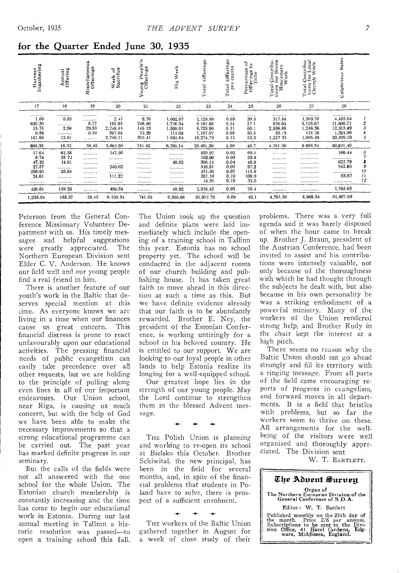| Harvest<br>Ingathering                                           | Annual<br>Offering                                            | å,<br>Miscellaneou<br>Offerings             | Week of<br>Sacrifice                                  | Young People's<br>Offerings                     | Week<br>B <sub>k</sub>                                     | Offerings<br>Total                                                                   | Offerings<br>capita<br>per<br>Total                          | $\mathbb{S}^1_{\mathbb{C}}$<br>Percentage<br>Offerings to<br>Tithe | Total Contribu-<br>tions for Home<br>Missionary<br>Work | Contribu-<br>for Local<br>ch Work<br>Total Correct<br>tions for<br>Church | Sales<br>Colporteur                                                                            |                                    |
|------------------------------------------------------------------|---------------------------------------------------------------|---------------------------------------------|-------------------------------------------------------|-------------------------------------------------|------------------------------------------------------------|--------------------------------------------------------------------------------------|--------------------------------------------------------------|--------------------------------------------------------------------|---------------------------------------------------------|---------------------------------------------------------------------------|------------------------------------------------------------------------------------------------|------------------------------------|
| 17                                                               | 18                                                            | 19                                          | 20                                                    | 21                                              | 22                                                         | 23                                                                                   | 24                                                           | 25                                                                 | 26                                                      | 27                                                                        | 28                                                                                             |                                    |
| <br>1.06<br>630.30<br>15.75<br>0.56<br>161.66                    | <br>0.53<br><br>2.98<br><br>12.81                             | <br><br>8.77<br>29.58<br>0.10<br>.          | .<br>2.47<br>182.93<br>2,248.85<br>397.64<br>2,769.11 | <br>9.70<br>246,99<br>145 13<br>23.39<br>316 41 | <br>1,062.07<br>1,736.34<br>1,508.01<br>111.08<br>1.862.64 | . . <b>.</b> <i>. .</i><br>2,128.89<br>9.161.65<br>6,728,90<br>1.107.07<br>10.274.79 | <br>0.03<br>0.14<br>0.11<br>0.03<br>0.12                     | <br>39.5<br>271<br>60.1<br>50.5<br>52.3                            | <br>317.84<br>576.04<br>2.596.88<br>33.19<br>1,257 35   | <br>1.389.76<br>3,128.67<br>1,246.36<br>118 26<br>1,085.49                | ******** ***<br>4,453.04<br>21,000.71<br>12,313.49<br>1,324.96<br>20,929.20                    | $\boldsymbol{z}$<br>3<br>4<br>5    |
| 809.33                                                           | 16.32                                                         | 38.45                                       | 5,601.00                                              | 741 62                                          | 6,280.14                                                   | 29,401,30                                                                            | 0.09                                                         | 40.7                                                               | 4.781.30                                                | 6 968.54                                                                  | 60.021.40                                                                                      |                                    |
| 17.64<br>9.74<br>47.20<br>27.57<br>299.85<br>24.61<br><br>426.61 | 62.38<br>35 72<br>14.61<br><br>26.54<br><br><b></b><br>139 25 | <br><br><b></b><br><br><br><br><br><b>.</b> | 147.50<br><br><br>240.62<br><br>111.22<br><br>499.34  | .<br>*********<br><br><br><br><br><br>          | <br><b></b><br>49.92<br><br>.<br>. . <i>.</i><br><br>49.92 | 833,97<br>192.06<br>306.14<br>516.81<br>451.35<br>201.19<br>14.91<br>2,516,43        | 0.02<br>0.05<br>0.04<br>0.03<br>0.07<br>0.10<br>0.19<br>0.03 | 68.1<br>33.6<br>48.9<br>97.2<br>115.6<br>109.9<br>32.0<br>70.4     | <br><br><br>. <i>. .</i><br><br><br><br>                | . <b>. .</b> .<br><br><br><br><br><br><b></b> .<br>                       | 166,44<br>. . <b>.</b> <i>.</i> . <i>. .</i><br>622.79<br>942.85<br><br>53.57<br>.<br>1,785.65 | 6<br>7<br>8<br>9<br>10<br>11<br>12 |
| 1,235,94                                                         | 155.57                                                        | 38.45                                       | 6.100.34                                              | 741.62                                          | 6.330.06                                                   | 31,917.73                                                                            | 0.08                                                         | 42.1                                                               | 4,781.30                                                | 6.968.54                                                                  | 61,807.05                                                                                      |                                    |

### for the Quarter Ended June 30, 1935

Peterson from the General Conference Missionary Volunteer Department with us. His timely messages and helpful suggestions were greatly appreciated. The Northern European Division sent Elder C. V. Anderson. He knows our field well and our young people find a real friend in him.

There is another feature of our youth's work in the Baltic that deserves special mention at this time. As everyone knows we are living in a time when our finances cause us great concern. This financial distress is prone to react unfavourably upon our educational activities. The pressing financial needs of public evangelism can easily take precedence over all other requests, but we are holding to the principle of pulling along even lines in all of our important endeavours. Our Union school, near Riga, is causing us much concern, but with the help of God we have been able to make the necessary improvements so that a strong educational programme can be carried out. The past year has marked definite progress in our seminary.

But the calls of the fields were not all answered with the one school for the whole Union. The Estonian church membership is constantly increasing and the time has come to begin our educational work in Estonia. During our last annual meeting in Tallinn a historic resolution was passed-to open a training school this fall.

The Union took up the question and definite plans were laid immediately which include the opening of a training school in Tallinn this year. Estonia has no school property yet. The school will be conducted in the adiacent rooms of our church building and publishing house. It has taken great faith to move ahead in this direction at such a time as this. But we have definite evidence already that our faith is to be abundantly rewarded. Brother E. Ney, the president of the Estonian Conference, is working untiringly for a school in his beloved country. He is entitled to our support. We are looking to our loyal people in other lands to help Estonia realize its longing for a well-equipped school.

Our greatest hope lies in the strength of our young people. May the Lord continue to strengthen them in the blessed Advent message.

THE Polish Union is planning and working to re-open its school at Bielsko this October. Brother Schiwital, the new principal, has been in the field for several months, and, in spite of the financial problems that students in Poland have to solve, there is prospect of a sufficient enrolment.

THE workers of the Baltic Union gathered together in August for a week of close study of their problems. There was a very full agenda and it was barely disposed of when the hour came to break up. Brother J. Braun, president of the Austrian Conference, had been invited to assist and his contributions were intensely valuable, not only because of the thoroughness with which he had thought through the subjects he dealt with, but also because in his own personality he was a striking embodiment of a powerful ministry. Many of the workers of the Union rendered strong help, and Brother Rudy in the chair kept the interest at a high pitch.

There seems no reason why the Baltic Union should not go ahead strongly and fill its territory with a ringing message. From all parts of the field came encouraging reports of progress in evangelism, and forward moves in all departments. It is a field that bristles with problems, but so far the workers seem to thrive on these. All arrangements for the wellbeing of the visitors were well organized and thoroughly appreciated. The Division sent

W. T. BARTLETT.